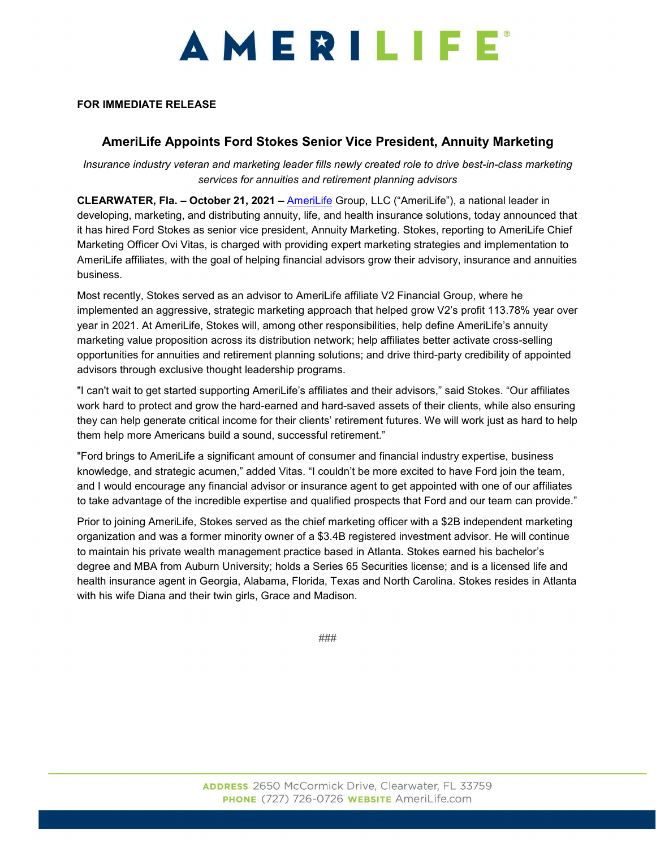

#### **FOR IMMEDIATE RELEASE**

# **AmeriLife Appoints Ford Stokes Senior Vice President, Annuity Marketing**

*Insurance industry veteran and marketing leader fills newly created role to drive best-in-class marketing services for annuities and retirement planning advisors*

**CLEARWATER, Fla. – October 21, 2021 –** [AmeriLife](https://amerilife.com/) Group, LLC ("AmeriLife"), a national leader in developing, marketing, and distributing annuity, life, and health insurance solutions, today announced that it has hired Ford Stokes as senior vice president, Annuity Marketing. Stokes, reporting to AmeriLife Chief Marketing Officer Ovi Vitas, is charged with providing expert marketing strategies and implementation to AmeriLife affiliates, with the goal of helping financial advisors grow their advisory, insurance and annuities business.

Most recently, Stokes served as an advisor to AmeriLife affiliate V2 Financial Group, where he implemented an aggressive, strategic marketing approach that helped grow V2's profit 113.78% year over year in 2021. At AmeriLife, Stokes will, among other responsibilities, help define AmeriLife's annuity marketing value proposition across its distribution network; help affiliates better activate cross-selling opportunities for annuities and retirement planning solutions; and drive third-party credibility of appointed advisors through exclusive thought leadership programs.

"I can't wait to get started supporting AmeriLife's affiliates and their advisors," said Stokes. "Our affiliates work hard to protect and grow the hard-earned and hard-saved assets of their clients, while also ensuring they can help generate critical income for their clients' retirement futures. We will work just as hard to help them help more Americans build a sound, successful retirement."

"Ford brings to AmeriLife a significant amount of consumer and financial industry expertise, business knowledge, and strategic acumen," added Vitas. "I couldn't be more excited to have Ford join the team, and I would encourage any financial advisor or insurance agent to get appointed with one of our affiliates to take advantage of the incredible expertise and qualified prospects that Ford and our team can provide."

Prior to joining AmeriLife, Stokes served as the chief marketing officer with a \$2B independent marketing organization and was a former minority owner of a \$3.4B registered investment advisor. He will continue to maintain his private wealth management practice based in Atlanta. Stokes earned his bachelor's degree and MBA from Auburn University; holds a Series 65 Securities license; and is a licensed life and health insurance agent in Georgia, Alabama, Florida, Texas and North Carolina. Stokes resides in Atlanta with his wife Diana and their twin girls, Grace and Madison.

###